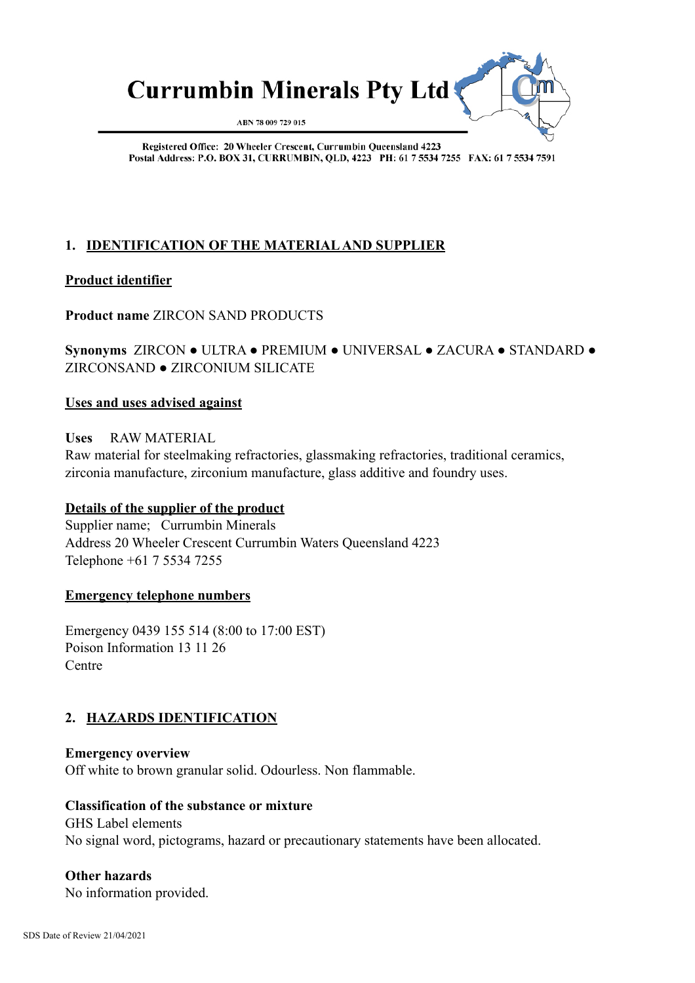

Registered Office: 20 Wheeler Crescent, Currumbin Queensland 4223 Postal Address: P.O. BOX 31, CURRUMBIN, OLD, 4223 PH: 61 7 5534 7255 FAX: 61 7 5534 7591

# **1. IDENTIFICATION OF THE MATERIAL AND SUPPLIER**

# **Product identifier**

# **Product name** ZIRCON SAND PRODUCTS

# **Synonyms** ZIRCON ● ULTRA ● PREMIUM ● UNIVERSAL ● ZACURA ● STANDARD ● ZIRCONSAND ● ZIRCONIUM SILICATE

## **Uses and uses advised against**

**Uses** RAW MATERIAL

Raw material for steelmaking refractories, glassmaking refractories, traditional ceramics, zirconia manufacture, zirconium manufacture, glass additive and foundry uses.

# **Details of the supplier of the product**

Supplier name; Currumbin Minerals Address 20 Wheeler Crescent Currumbin Waters Queensland 4223 Telephone +61 7 5534 7255

#### **Emergency telephone numbers**

Emergency 0439 155 514 (8:00 to 17:00 EST) Poison Information 13 11 26 **Centre** 

# **2. HAZARDS IDENTIFICATION**

**Emergency overview** Off white to brown granular solid. Odourless. Non flammable.

#### **Classification of the substance or mixture**

 GHS Label elements No signal word, pictograms, hazard or precautionary statements have been allocated.

# **Other hazards**

No information provided.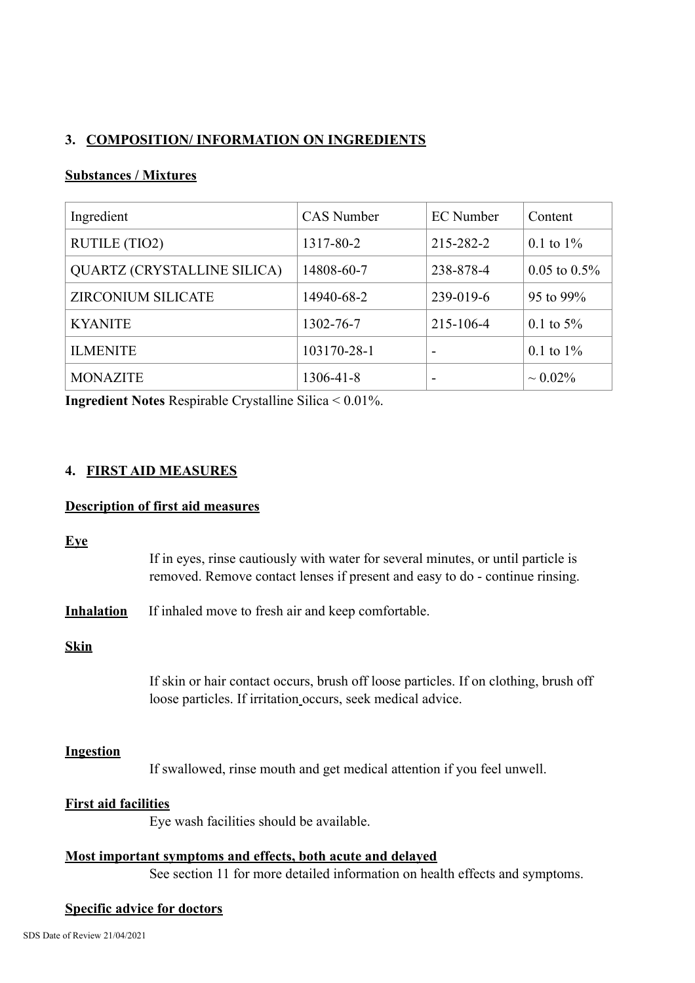# **3. COMPOSITION/ INFORMATION ON INGREDIENTS**

# **Substances / Mixtures**

| Ingredient                         | <b>CAS</b> Number | <b>EC</b> Number | Content           |
|------------------------------------|-------------------|------------------|-------------------|
| <b>RUTILE (TIO2)</b>               | 1317-80-2         | 215-282-2        | 0.1 to $1\%$      |
| <b>QUARTZ (CRYSTALLINE SILICA)</b> | 14808-60-7        | 238-878-4        | $0.05$ to $0.5\%$ |
| <b>ZIRCONIUM SILICATE</b>          | 14940-68-2        | 239-019-6        | 95 to 99%         |
| <b>KYANITE</b>                     | 1302-76-7         | 215-106-4        | 0.1 to $5\%$      |
| <b>ILMENITE</b>                    | 103170-28-1       | -                | 0.1 to $1\%$      |
| <b>MONAZITE</b>                    | $1306 - 41 - 8$   | -                | $\sim 0.02\%$     |

**Ingredient Notes** Respirable Crystalline Silica < 0.01%.

## **4. FIRST AID MEASURES**

### **Description of first aid measures**

|--|

| If in eyes, rinse cautiously with water for several minutes, or until particle is |
|-----------------------------------------------------------------------------------|
| removed. Remove contact lenses if present and easy to do - continue rinsing.      |

**Inhalation** If inhaled move to fresh air and keep comfortable.

## **Skin**

If skin or hair contact occurs, brush off loose particles. If on clothing, brush off loose particles. If irritation occurs, seek medical advice.

#### **Ingestion**

If swallowed, rinse mouth and get medical attention if you feel unwell.

### **First aid facilities**

Eye wash facilities should be available.

| Most important symptoms and effects, both acute and delayed                  |
|------------------------------------------------------------------------------|
| See section 11 for more detailed information on health effects and symptoms. |

### **Specific advice for doctors**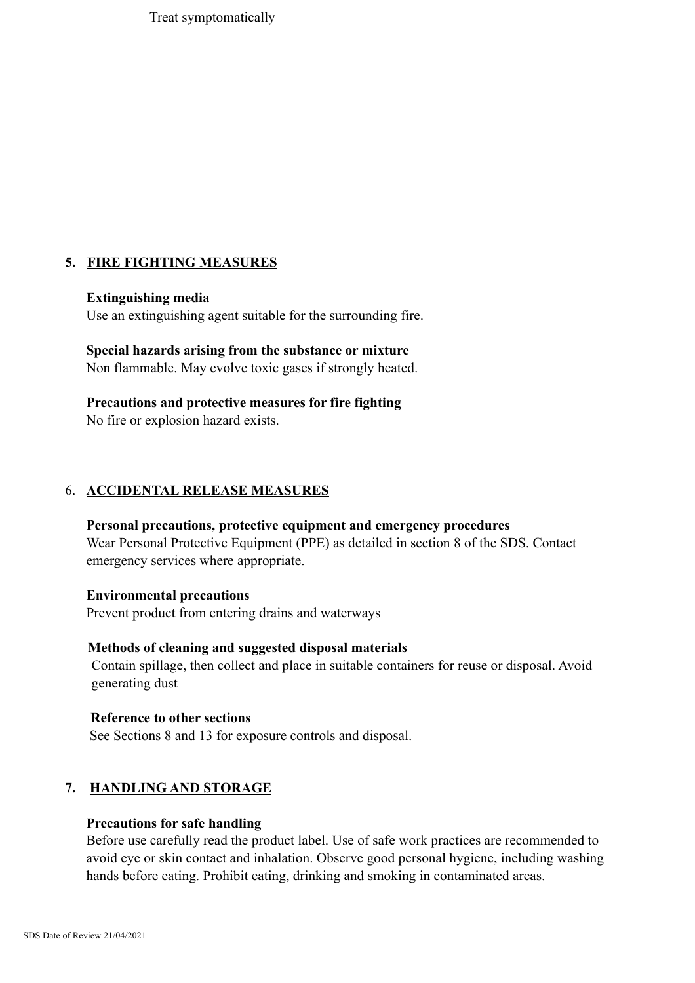Treat symptomatically

# **5. FIRE FIGHTING MEASURES**

#### **Extinguishing media**

Use an extinguishing agent suitable for the surrounding fire.

# **Special hazards arising from the substance or mixture**

Non flammable. May evolve toxic gases if strongly heated.

#### **Precautions and protective measures for fire fighting**

No fire or explosion hazard exists.

## 6. **ACCIDENTAL RELEASE MEASURES**

#### **Personal precautions, protective equipment and emergency procedures**

Wear Personal Protective Equipment (PPE) as detailed in section 8 of the SDS. Contact emergency services where appropriate.

#### **Environmental precautions**

Prevent product from entering drains and waterways

#### **Methods of cleaning and suggested disposal materials**

Contain spillage, then collect and place in suitable containers for reuse or disposal. Avoid generating dust

#### **Reference to other sections**

See Sections 8 and 13 for exposure controls and disposal.

# **7. HANDLING AND STORAGE**

### **Precautions for safe handling**

Before use carefully read the product label. Use of safe work practices are recommended to avoid eye or skin contact and inhalation. Observe good personal hygiene, including washing hands before eating. Prohibit eating, drinking and smoking in contaminated areas.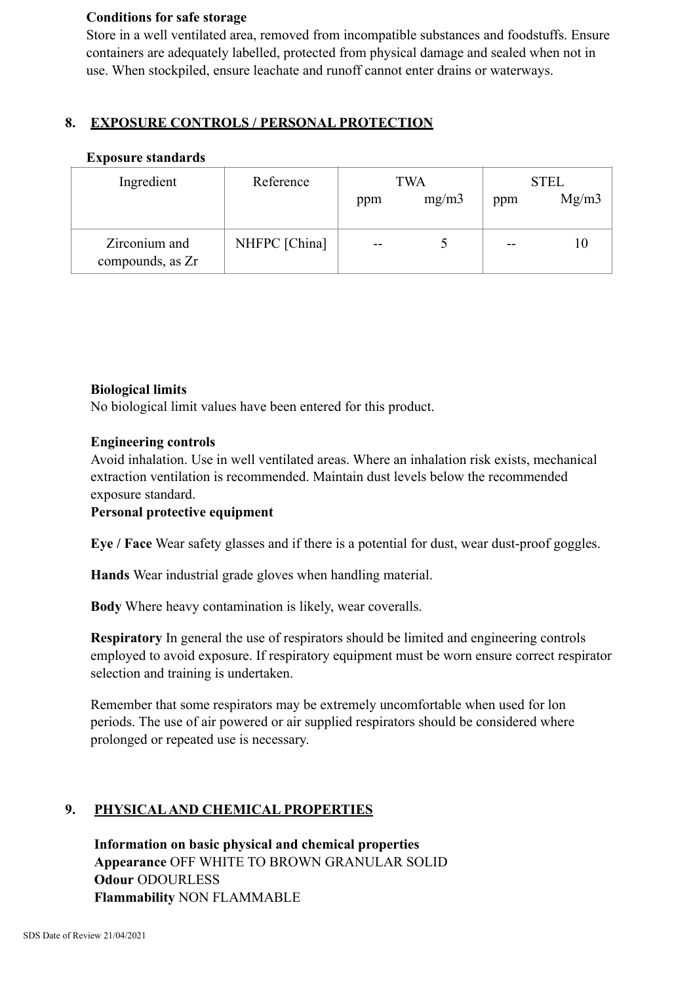### **Conditions for safe storage**

Store in a well ventilated area, removed from incompatible substances and foodstuffs. Ensure containers are adequately labelled, protected from physical damage and sealed when not in use. When stockpiled, ensure leachate and runoff cannot enter drains or waterways.

# **8. EXPOSURE CONTROLS / PERSONAL PROTECTION**

## **Exposure standards**

| Ingredient                        | Reference     | TWA   |       | <b>STEL</b> |       |
|-----------------------------------|---------------|-------|-------|-------------|-------|
|                                   |               | ppm   | mg/m3 | ppm         | Mg/m3 |
|                                   |               |       |       |             |       |
| Zirconium and<br>compounds, as Zr | NHFPC [China] | $- -$ |       | $- -$       | 10    |

# **Biological limits**

No biological limit values have been entered for this product.

## **Engineering controls**

Avoid inhalation. Use in well ventilated areas. Where an inhalation risk exists, mechanical extraction ventilation is recommended. Maintain dust levels below the recommended exposure standard.

# **Personal protective equipment**

**Eye / Face** Wear safety glasses and if there is a potential for dust, wear dust-proof goggles.

**Hands** Wear industrial grade gloves when handling material.

**Body** Where heavy contamination is likely, wear coveralls.

**Respiratory** In general the use of respirators should be limited and engineering controls employed to avoid exposure. If respiratory equipment must be worn ensure correct respirator selection and training is undertaken.

Remember that some respirators may be extremely uncomfortable when used for lon periods. The use of air powered or air supplied respirators should be considered where prolonged or repeated use is necessary.

# **9. PHYSICAL AND CHEMICAL PROPERTIES**

**Information on basic physical and chemical properties Appearance** OFF WHITE TO BROWN GRANULAR SOLID **Odour** ODOURLESS **Flammability** NON FLAMMABLE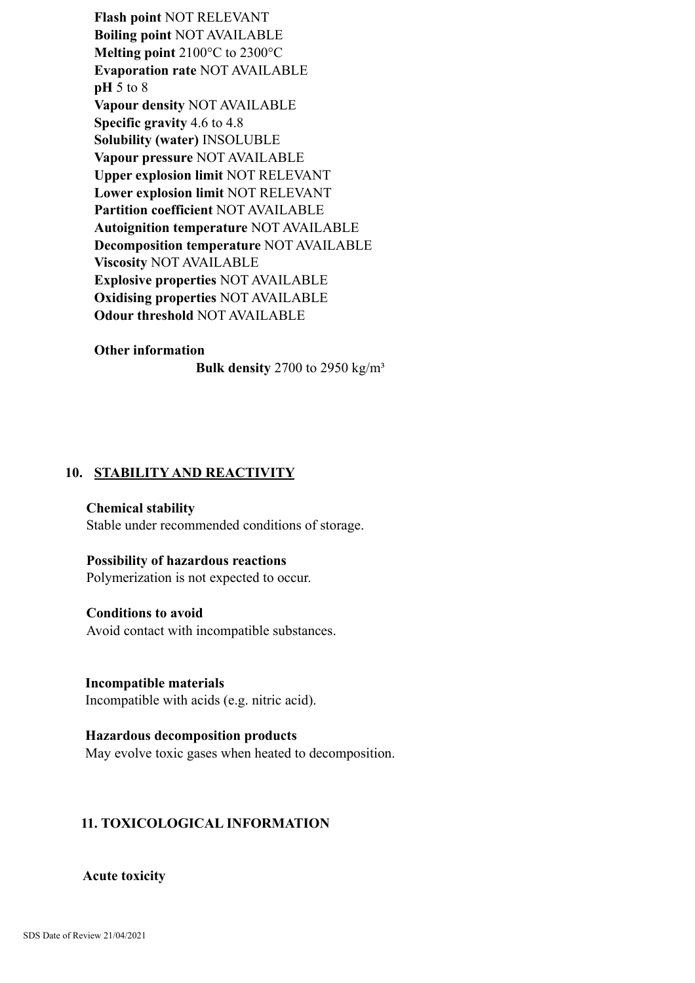**Flash point** NOT RELEVANT **Boiling point** NOT AVAILABLE **Melting point** 2100°C to 2300°C **Evaporation rate** NOT AVAILABLE **pH** 5 to 8 **Vapour density** NOT AVAILABLE **Specific gravity** 4.6 to 4.8 **Solubility (water)** INSOLUBLE **Vapour pressure** NOT AVAILABLE **Upper explosion limit** NOT RELEVANT **Lower explosion limit** NOT RELEVANT **Partition coefficient** NOT AVAILABLE **Autoignition temperature** NOT AVAILABLE **Decomposition temperature** NOT AVAILABLE **Viscosity** NOT AVAILABLE **Explosive properties** NOT AVAILABLE **Oxidising properties** NOT AVAILABLE **Odour threshold** NOT AVAILABLE

#### **Other information**

**Bulk density** 2700 to 2950 kg/m³

## **10. STABILITY AND REACTIVITY**

#### **Chemical stability**

Stable under recommended conditions of storage.

#### **Possibility of hazardous reactions**

Polymerization is not expected to occur.

#### **Conditions to avoid**

Avoid contact with incompatible substances.

**Incompatible materials** Incompatible with acids (e.g. nitric acid).

# **Hazardous decomposition products** May evolve toxic gases when heated to decomposition.

## **11. TOXICOLOGICAL INFORMATION**

#### **Acute toxicity**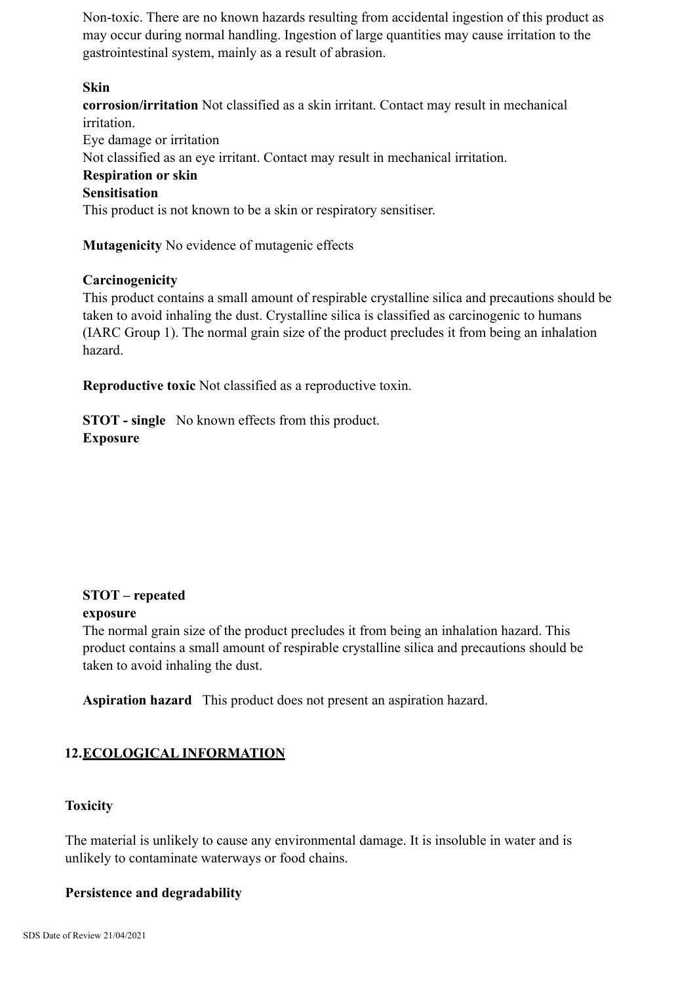Non-toxic. There are no known hazards resulting from accidental ingestion of this product as may occur during normal handling. Ingestion of large quantities may cause irritation to the gastrointestinal system, mainly as a result of abrasion.

## **Skin**

**corrosion/irritation** Not classified as a skin irritant. Contact may result in mechanical irritation.

Eye damage or irritation Not classified as an eye irritant. Contact may result in mechanical irritation. **Respiration or skin Sensitisation** This product is not known to be a skin or respiratory sensitiser.

**Mutagenicity** No evidence of mutagenic effects

#### **Carcinogenicity**

This product contains a small amount of respirable crystalline silica and precautions should be taken to avoid inhaling the dust. Crystalline silica is classified as carcinogenic to humans (IARC Group 1). The normal grain size of the product precludes it from being an inhalation hazard.

**Reproductive toxic** Not classified as a reproductive toxin.

**STOT - single** No known effects from this product. **Exposure**

# **STOT – repeated exposure**

The normal grain size of the product precludes it from being an inhalation hazard. This product contains a small amount of respirable crystalline silica and precautions should be taken to avoid inhaling the dust.

**Aspiration hazard** This product does not present an aspiration hazard.

# **12.ECOLOGICAL INFORMATION**

# **Toxicity**

The material is unlikely to cause any environmental damage. It is insoluble in water and is unlikely to contaminate waterways or food chains.

#### **Persistence and degradability**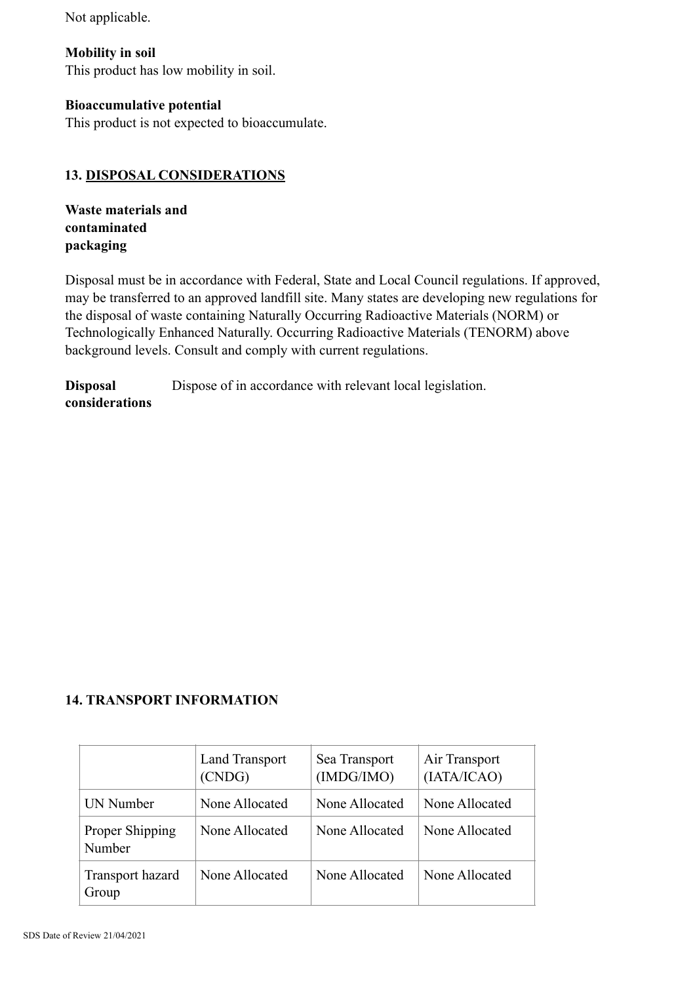Not applicable.

**Mobility in soil** This product has low mobility in soil.

# **Bioaccumulative potential**

This product is not expected to bioaccumulate.

# **13. DISPOSAL CONSIDERATIONS**

**Waste materials and contaminated packaging**

Disposal must be in accordance with Federal, State and Local Council regulations. If approved, may be transferred to an approved landfill site. Many states are developing new regulations for the disposal of waste containing Naturally Occurring Radioactive Materials (NORM) or Technologically Enhanced Naturally. Occurring Radioactive Materials (TENORM) above background levels. Consult and comply with current regulations.

**Disposal** Dispose of in accordance with relevant local legislation. **considerations**

# **14. TRANSPORT INFORMATION**

|                           | Land Transport<br>(CNDG) | Sea Transport<br>(IMDG/IMO) | Air Transport<br>(IATA/ICAO) |
|---------------------------|--------------------------|-----------------------------|------------------------------|
| UN Number                 | None Allocated           | None Allocated              | None Allocated               |
| Proper Shipping<br>Number | None Allocated           | None Allocated              | None Allocated               |
| Transport hazard<br>Group | None Allocated           | None Allocated              | None Allocated               |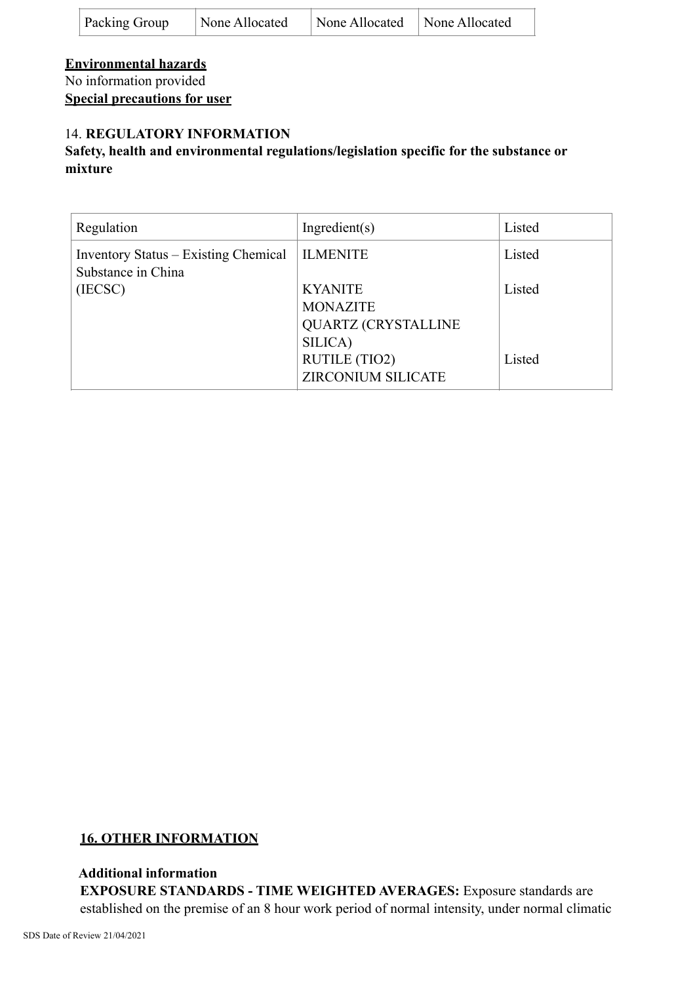| <b>Packing Group</b> | None Allocated | None Allocated | None Allocated |
|----------------------|----------------|----------------|----------------|
|----------------------|----------------|----------------|----------------|

**Environmental hazards** No information provided **Special precautions for user**

# 14. **REGULATORY INFORMATION**

# **Safety, health and environmental regulations/legislation specific for the substance or mixture**

| Regulation                                                 | Ingradient(s)                                                              | Listed |
|------------------------------------------------------------|----------------------------------------------------------------------------|--------|
| Inventory Status – Existing Chemical<br>Substance in China | <b>ILMENITE</b>                                                            | Listed |
| (IECSC)                                                    | <b>KYANITE</b><br><b>MONAZITE</b><br><b>QUARTZ (CRYSTALLINE</b><br>SILICA) | Listed |
|                                                            | <b>RUTILE (TIO2)</b><br><b>ZIRCONIUM SILICATE</b>                          | Listed |

# **16. OTHER INFORMATION**

# **Additional information**

**EXPOSURE STANDARDS - TIME WEIGHTED AVERAGES:** Exposure standards are established on the premise of an 8 hour work period of normal intensity, under normal climatic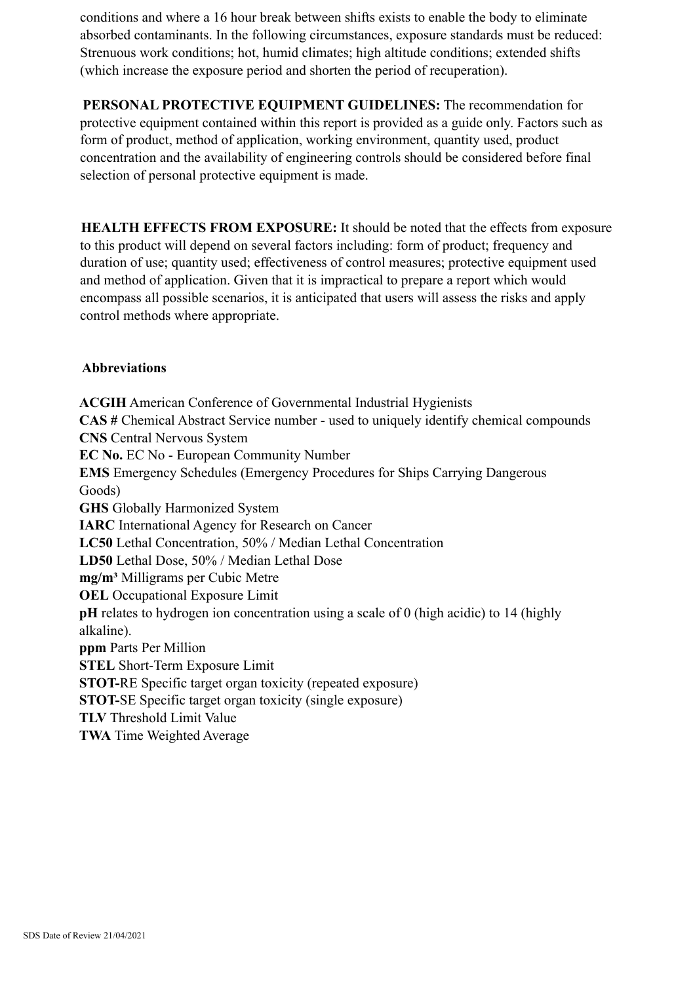conditions and where a 16 hour break between shifts exists to enable the body to eliminate absorbed contaminants. In the following circumstances, exposure standards must be reduced: Strenuous work conditions; hot, humid climates; high altitude conditions; extended shifts (which increase the exposure period and shorten the period of recuperation).

**PERSONAL PROTECTIVE EQUIPMENT GUIDELINES:** The recommendation for protective equipment contained within this report is provided as a guide only. Factors such as form of product, method of application, working environment, quantity used, product concentration and the availability of engineering controls should be considered before final selection of personal protective equipment is made.

**HEALTH EFFECTS FROM EXPOSURE:** It should be noted that the effects from exposure to this product will depend on several factors including: form of product; frequency and duration of use; quantity used; effectiveness of control measures; protective equipment used and method of application. Given that it is impractical to prepare a report which would encompass all possible scenarios, it is anticipated that users will assess the risks and apply control methods where appropriate.

# **Abbreviations**

**ACGIH** American Conference of Governmental Industrial Hygienists **CAS #** Chemical Abstract Service number - used to uniquely identify chemical compounds **CNS** Central Nervous System **EC No.** EC No - European Community Number **EMS** Emergency Schedules (Emergency Procedures for Ships Carrying Dangerous Goods) **GHS** Globally Harmonized System **IARC** International Agency for Research on Cancer **LC50** Lethal Concentration, 50% / Median Lethal Concentration **LD50** Lethal Dose, 50% / Median Lethal Dose **mg/m³** Milligrams per Cubic Metre **OEL** Occupational Exposure Limit **pH** relates to hydrogen ion concentration using a scale of 0 (high acidic) to 14 (highly alkaline). **ppm** Parts Per Million **STEL** Short-Term Exposure Limit **STOT-**RE Specific target organ toxicity (repeated exposure) **STOT-**SE Specific target organ toxicity (single exposure) **TLV** Threshold Limit Value **TWA** Time Weighted Average